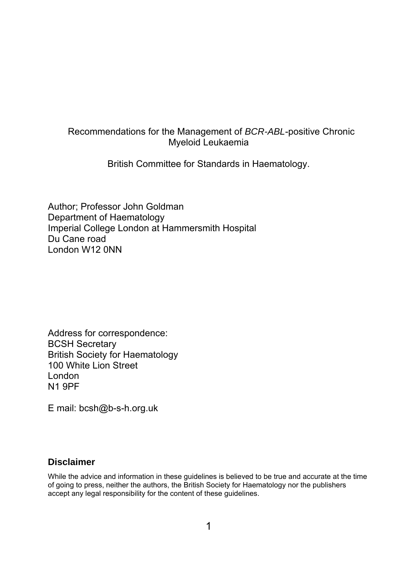# Recommendations for the Management of *BCR-ABL*-positive Chronic Myeloid Leukaemia

British Committee for Standards in Haematology.

Author; Professor John Goldman Department of Haematology Imperial College London at Hammersmith Hospital Du Cane road London W12 0NN

Address for correspondence: BCSH Secretary British Society for Haematology 100 White Lion Street London N1 9PF

E mail: bcsh@b-s-h.org.uk

# **Disclaimer**

While the advice and information in these guidelines is believed to be true and accurate at the time of going to press, neither the authors, the British Society for Haematology nor the publishers accept any legal responsibility for the content of these guidelines.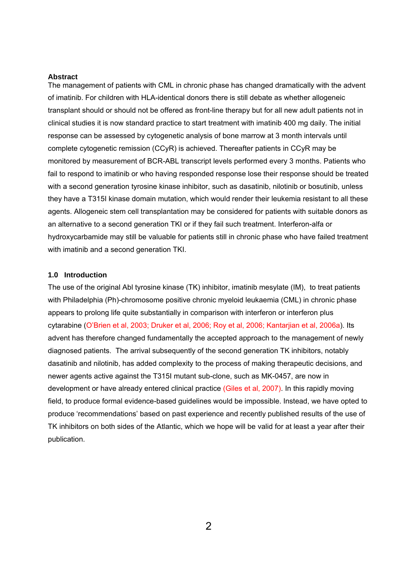#### **Abstract**

The management of patients with CML in chronic phase has changed dramatically with the advent of imatinib. For children with HLA-identical donors there is still debate as whether allogeneic transplant should or should not be offered as front-line therapy but for all new adult patients not in clinical studies it is now standard practice to start treatment with imatinib 400 mg daily. The initial response can be assessed by cytogenetic analysis of bone marrow at 3 month intervals until complete cytogenetic remission (CCyR) is achieved. Thereafter patients in CCyR may be monitored by measurement of BCR-ABL transcript levels performed every 3 months. Patients who fail to respond to imatinib or who having responded response lose their response should be treated with a second generation tyrosine kinase inhibitor, such as dasatinib, nilotinib or bosutinib, unless they have a T315I kinase domain mutation, which would render their leukemia resistant to all these agents. Allogeneic stem cell transplantation may be considered for patients with suitable donors as an alternative to a second generation TKI or if they fail such treatment. Interferon-alfa or hydroxycarbamide may still be valuable for patients still in chronic phase who have failed treatment with imatinib and a second generation TKI.

# **1.0 Introduction**

The use of the original Abl tyrosine kinase (TK) inhibitor, imatinib mesylate (IM), to treat patients with Philadelphia (Ph)-chromosome positive chronic myeloid leukaemia (CML) in chronic phase appears to prolong life quite substantially in comparison with interferon or interferon plus cytarabine (O'Brien et al, 2003; Druker et al, 2006; Roy et al, 2006; Kantarjian et al, 2006a). Its advent has therefore changed fundamentally the accepted approach to the management of newly diagnosed patients. The arrival subsequently of the second generation TK inhibitors, notably dasatinib and nilotinib, has added complexity to the process of making therapeutic decisions, and newer agents active against the T315I mutant sub-clone, such as MK-0457, are now in development or have already entered clinical practice (Giles et al, 2007). In this rapidly moving field, to produce formal evidence-based guidelines would be impossible. Instead, we have opted to produce 'recommendations' based on past experience and recently published results of the use of TK inhibitors on both sides of the Atlantic, which we hope will be valid for at least a year after their publication.

 $\mathcal{P}$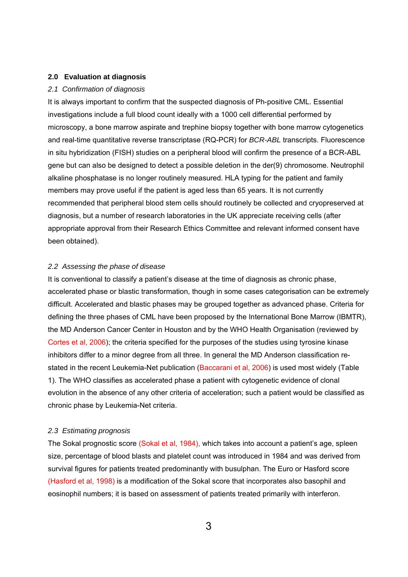# **2.0 Evaluation at diagnosis**

#### *2.1 Confirmation of diagnosis*

It is always important to confirm that the suspected diagnosis of Ph-positive CML. Essential investigations include a full blood count ideally with a 1000 cell differential performed by microscopy, a bone marrow aspirate and trephine biopsy together with bone marrow cytogenetics and real-time quantitative reverse transcriptase (RQ-PCR) for *BCR-ABL* transcripts. Fluorescence in situ hybridization (FISH) studies on a peripheral blood will confirm the presence of a BCR-ABL gene but can also be designed to detect a possible deletion in the der(9) chromosome. Neutrophil alkaline phosphatase is no longer routinely measured. HLA typing for the patient and family members may prove useful if the patient is aged less than 65 years. It is not currently recommended that peripheral blood stem cells should routinely be collected and cryopreserved at diagnosis, but a number of research laboratories in the UK appreciate receiving cells (after appropriate approval from their Research Ethics Committee and relevant informed consent have been obtained).

# *2.2 Assessing the phase of disease*

It is conventional to classify a patient's disease at the time of diagnosis as chronic phase, accelerated phase or blastic transformation, though in some cases categorisation can be extremely difficult. Accelerated and blastic phases may be grouped together as advanced phase. Criteria for defining the three phases of CML have been proposed by the International Bone Marrow (IBMTR), the MD Anderson Cancer Center in Houston and by the WHO Health Organisation (reviewed by Cortes et al, 2006); the criteria specified for the purposes of the studies using tyrosine kinase inhibitors differ to a minor degree from all three. In general the MD Anderson classification restated in the recent Leukemia-Net publication (Baccarani et al, 2006) is used most widely (Table 1). The WHO classifies as accelerated phase a patient with cytogenetic evidence of clonal evolution in the absence of any other criteria of acceleration; such a patient would be classified as chronic phase by Leukemia-Net criteria.

#### *2.3 Estimating prognosis*

The Sokal prognostic score (Sokal et al, 1984), which takes into account a patient's age, spleen size, percentage of blood blasts and platelet count was introduced in 1984 and was derived from survival figures for patients treated predominantly with busulphan. The Euro or Hasford score (Hasford et al, 1998) is a modification of the Sokal score that incorporates also basophil and eosinophil numbers; it is based on assessment of patients treated primarily with interferon.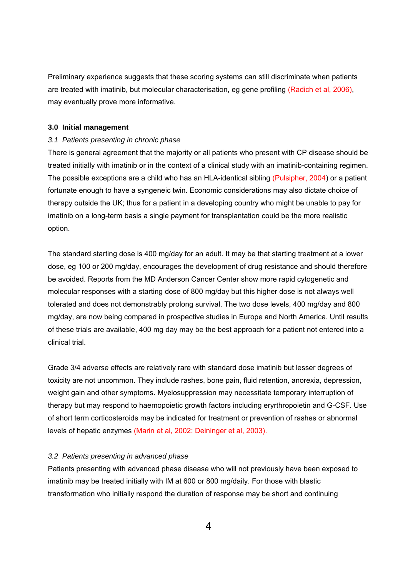Preliminary experience suggests that these scoring systems can still discriminate when patients are treated with imatinib, but molecular characterisation, eg gene profiling (Radich et al, 2006), may eventually prove more informative.

#### **3.0 Initial management**

#### *3.1 Patients presenting in chronic phase*

There is general agreement that the majority or all patients who present with CP disease should be treated initially with imatinib or in the context of a clinical study with an imatinib-containing regimen. The possible exceptions are a child who has an HLA-identical sibling (Pulsipher, 2004) or a patient fortunate enough to have a syngeneic twin. Economic considerations may also dictate choice of therapy outside the UK; thus for a patient in a developing country who might be unable to pay for imatinib on a long-term basis a single payment for transplantation could be the more realistic option.

The standard starting dose is 400 mg/day for an adult. It may be that starting treatment at a lower dose, eg 100 or 200 mg/day, encourages the development of drug resistance and should therefore be avoided. Reports from the MD Anderson Cancer Center show more rapid cytogenetic and molecular responses with a starting dose of 800 mg/day but this higher dose is not always well tolerated and does not demonstrably prolong survival. The two dose levels, 400 mg/day and 800 mg/day, are now being compared in prospective studies in Europe and North America. Until results of these trials are available, 400 mg day may be the best approach for a patient not entered into a clinical trial.

Grade 3/4 adverse effects are relatively rare with standard dose imatinib but lesser degrees of toxicity are not uncommon. They include rashes, bone pain, fluid retention, anorexia, depression, weight gain and other symptoms. Myelosuppression may necessitate temporary interruption of therapy but may respond to haemopoietic growth factors including eryrthropoietin and G-CSF. Use of short term corticosteroids may be indicated for treatment or prevention of rashes or abnormal levels of hepatic enzymes (Marin et al, 2002; Deininger et al, 2003).

## *3.2 Patients presenting in advanced phase*

Patients presenting with advanced phase disease who will not previously have been exposed to imatinib may be treated initially with IM at 600 or 800 mg/daily. For those with blastic transformation who initially respond the duration of response may be short and continuing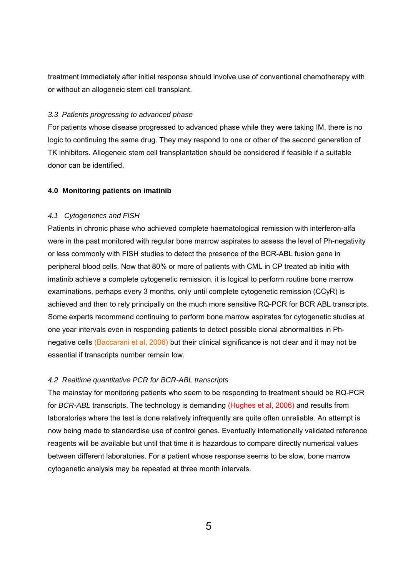treatment immediately after initial response should involve use of conventional chemotherapy with or without an allogeneic stem cell transplant.

# *3.3 Patients progressing to advanced phase*

For patients whose disease progressed to advanced phase while they were taking IM, there is no logic to continuing the same drug. They may respond to one or other of the second generation of TK inhibitors. Allogeneic stem cell transplantation should be considered if feasible if a suitable donor can be identified.

# **4.0 Monitoring patients on imatinib**

# *4.1 Cytogenetics and FISH*

Patients in chronic phase who achieved complete haematological remission with interferon-alfa were in the past monitored with regular bone marrow aspirates to assess the level of Ph-negativity or less commonly with FISH studies to detect the presence of the BCR-ABL fusion gene in peripheral blood cells. Now that 80% or more of patients with CML in CP treated ab initio with imatinib achieve a complete cytogenetic remission, it is logical to perform routine bone marrow examinations, perhaps every 3 months, only until complete cytogenetic remission (CCyR) is achieved and then to rely principally on the much more sensitive RQ-PCR for BCR ABL transcripts. Some experts recommend continuing to perform bone marrow aspirates for cytogenetic studies at one year intervals even in responding patients to detect possible clonal abnormalities in Phnegative cells (Baccarani et al, 2006) but their clinical significance is not clear and it may not be essential if transcripts number remain low.

# *4.2 Realtime quantitative PCR for BCR-ABL transcripts*

The mainstay for monitoring patients who seem to be responding to treatment should be RQ-PCR for *BCR-ABL* transcripts. The technology is demanding (Hughes et al, 2006) and results from laboratories where the test is done relatively infrequently are quite often unreliable. An attempt is now being made to standardise use of control genes. Eventually internationally validated reference reagents will be available but until that time it is hazardous to compare directly numerical values between different laboratories. For a patient whose response seems to be slow, bone marrow cytogenetic analysis may be repeated at three month intervals.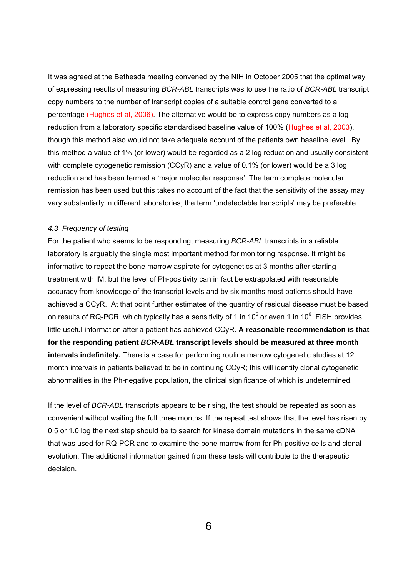It was agreed at the Bethesda meeting convened by the NIH in October 2005 that the optimal way of expressing results of measuring *BCR-ABL* transcripts was to use the ratio of *BCR-ABL* transcript copy numbers to the number of transcript copies of a suitable control gene converted to a percentage (Hughes et al, 2006). The alternative would be to express copy numbers as a log reduction from a laboratory specific standardised baseline value of 100% (Hughes et al, 2003), though this method also would not take adequate account of the patients own baseline level. By this method a value of 1% (or lower) would be regarded as a 2 log reduction and usually consistent with complete cytogenetic remission (CCyR) and a value of 0.1% (or lower) would be a 3 log reduction and has been termed a 'major molecular response'. The term complete molecular remission has been used but this takes no account of the fact that the sensitivity of the assay may vary substantially in different laboratories; the term 'undetectable transcripts' may be preferable.

# *4.3 Frequency of testing*

For the patient who seems to be responding, measuring *BCR-ABL* transcripts in a reliable laboratory is arguably the single most important method for monitoring response. It might be informative to repeat the bone marrow aspirate for cytogenetics at 3 months after starting treatment with IM, but the level of Ph-positivity can in fact be extrapolated with reasonable accuracy from knowledge of the transcript levels and by six months most patients should have achieved a CCyR. At that point further estimates of the quantity of residual disease must be based on results of RQ-PCR, which typically has a sensitivity of 1 in 10<sup>5</sup> or even 1 in 10<sup>6</sup>. FISH provides little useful information after a patient has achieved CCyR. **A reasonable recommendation is that for the responding patient** *BCR-ABL* **transcript levels should be measured at three month intervals indefinitely.** There is a case for performing routine marrow cytogenetic studies at 12 month intervals in patients believed to be in continuing CCyR; this will identify clonal cytogenetic abnormalities in the Ph-negative population, the clinical significance of which is undetermined.

If the level of *BCR-ABL* transcripts appears to be rising, the test should be repeated as soon as convenient without waiting the full three months. If the repeat test shows that the level has risen by 0.5 or 1.0 log the next step should be to search for kinase domain mutations in the same cDNA that was used for RQ-PCR and to examine the bone marrow from for Ph-positive cells and clonal evolution. The additional information gained from these tests will contribute to the therapeutic decision.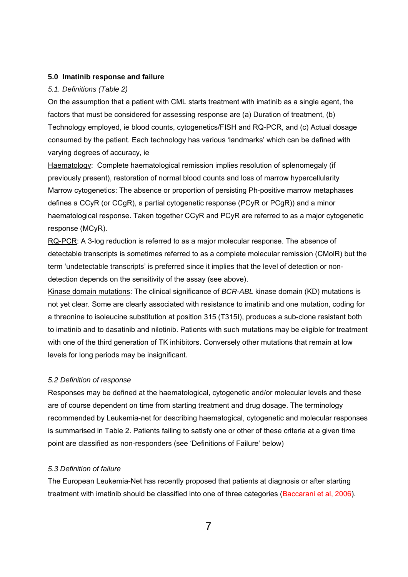### **5.0 Imatinib response and failure**

#### *5.1. Definitions (Table 2)*

On the assumption that a patient with CML starts treatment with imatinib as a single agent, the factors that must be considered for assessing response are (a) Duration of treatment, (b) Technology employed, ie blood counts, cytogenetics/FISH and RQ-PCR, and (c) Actual dosage consumed by the patient. Each technology has various 'landmarks' which can be defined with varying degrees of accuracy, ie

Haematology: Complete haematological remission implies resolution of splenomegaly (if previously present), restoration of normal blood counts and loss of marrow hypercellularity Marrow cytogenetics: The absence or proportion of persisting Ph-positive marrow metaphases defines a CCyR (or CCgR), a partial cytogenetic response (PCyR or PCgR)) and a minor haematological response. Taken together CCyR and PCyR are referred to as a major cytogenetic response (MCyR).

RQ-PCR: A 3-log reduction is referred to as a major molecular response. The absence of detectable transcripts is sometimes referred to as a complete molecular remission (CMolR) but the term 'undetectable transcripts' is preferred since it implies that the level of detection or nondetection depends on the sensitivity of the assay (see above).

Kinase domain mutations: The clinical significance of *BCR-ABL* kinase domain (KD) mutations is not yet clear. Some are clearly associated with resistance to imatinib and one mutation, coding for a threonine to isoleucine substitution at position 315 (T315I), produces a sub-clone resistant both to imatinib and to dasatinib and nilotinib. Patients with such mutations may be eligible for treatment with one of the third generation of TK inhibitors. Conversely other mutations that remain at low levels for long periods may be insignificant.

#### *5.2 Definition of response*

Responses may be defined at the haematological, cytogenetic and/or molecular levels and these are of course dependent on time from starting treatment and drug dosage. The terminology recommended by Leukemia-net for describing haematogical, cytogenetic and molecular responses is summarised in Table 2. Patients failing to satisfy one or other of these criteria at a given time point are classified as non-responders (see 'Definitions of Failure' below)

# *5.3 Definition of failure*

The European Leukemia-Net has recently proposed that patients at diagnosis or after starting treatment with imatinib should be classified into one of three categories (Baccarani et al, 2006).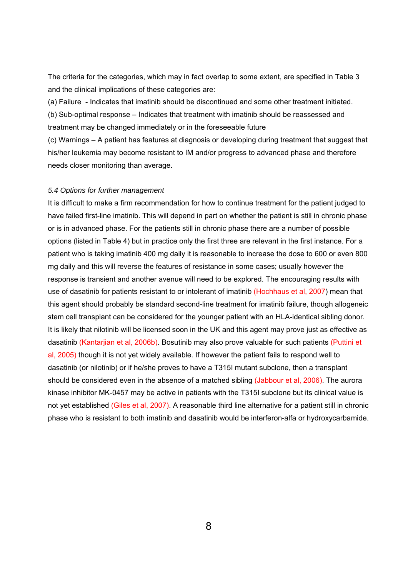The criteria for the categories, which may in fact overlap to some extent, are specified in Table 3 and the clinical implications of these categories are:

(a) Failure - Indicates that imatinib should be discontinued and some other treatment initiated.

(b) Sub-optimal response – Indicates that treatment with imatinib should be reassessed and treatment may be changed immediately or in the foreseeable future

(c) Warnings – A patient has features at diagnosis or developing during treatment that suggest that his/her leukemia may become resistant to IM and/or progress to advanced phase and therefore needs closer monitoring than average.

# *5.4 Options for further management*

It is difficult to make a firm recommendation for how to continue treatment for the patient judged to have failed first-line imatinib. This will depend in part on whether the patient is still in chronic phase or is in advanced phase. For the patients still in chronic phase there are a number of possible options (listed in Table 4) but in practice only the first three are relevant in the first instance. For a patient who is taking imatinib 400 mg daily it is reasonable to increase the dose to 600 or even 800 mg daily and this will reverse the features of resistance in some cases; usually however the response is transient and another avenue will need to be explored. The encouraging results with use of dasatinib for patients resistant to or intolerant of imatinib (Hochhaus et al, 2007) mean that this agent should probably be standard second-line treatment for imatinib failure, though allogeneic stem cell transplant can be considered for the younger patient with an HLA-identical sibling donor. It is likely that nilotinib will be licensed soon in the UK and this agent may prove just as effective as dasatinib (Kantarjian et al, 2006b). Bosutinib may also prove valuable for such patients (Puttini et al, 2005) though it is not yet widely available. If however the patient fails to respond well to dasatinib (or nilotinib) or if he/she proves to have a T315I mutant subclone, then a transplant should be considered even in the absence of a matched sibling (Jabbour et al, 2006). The aurora kinase inhibitor MK-0457 may be active in patients with the T315I subclone but its clinical value is not yet established (Giles et al, 2007). A reasonable third line alternative for a patient still in chronic phase who is resistant to both imatinib and dasatinib would be interferon-alfa or hydroxycarbamide.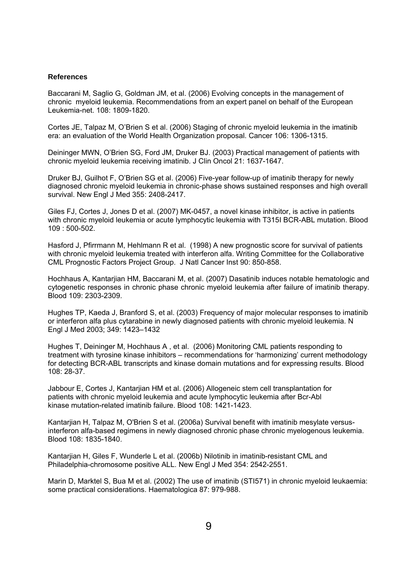#### **References**

Baccarani M, Saglio G, Goldman JM, et al. (2006) Evolving concepts in the management of chronic myeloid leukemia. Recommendations from an expert panel on behalf of the European Leukemia-net. 108: 1809-1820.

Cortes JE, Talpaz M, O'Brien S et al. (2006) Staging of chronic myeloid leukemia in the imatinib era: an evaluation of the World Health Organization proposal. Cancer 106: 1306-1315.

Deininger MWN, O'Brien SG, Ford JM, Druker BJ. (2003) Practical management of patients with chronic myeloid leukemia receiving imatinib. J Clin Oncol 21: 1637-1647.

Druker BJ, Guilhot F, O'Brien SG et al. (2006) Five-year follow-up of imatinib therapy for newly diagnosed chronic myeloid leukemia in chronic-phase shows sustained responses and high overall survival. New Engl J Med 355: 2408-2417.

Giles FJ, Cortes J, Jones D et al. (2007) MK-0457, a novel kinase inhibitor, is active in patients with chronic myeloid leukemia or acute lymphocytic leukemia with T315I BCR-ABL mutation. Blood 109 : 500-502.

Hasford J, Pfirrmann M, Hehlmann R et al. (1998) A new prognostic score for survival of patients with chronic myeloid leukemia treated with interferon alfa. Writing Committee for the Collaborative CML Prognostic Factors Project Group. J Natl Cancer Inst 90: 850-858.

Hochhaus A, Kantarjian HM, Baccarani M, et al. (2007) Dasatinib induces notable hematologic and cytogenetic responses in chronic phase chronic myeloid leukemia after failure of imatinib therapy. Blood 109: 2303-2309.

Hughes TP, Kaeda J, Branford S, et al. (2003) Frequency of major molecular responses to imatinib or interferon alfa plus cytarabine in newly diagnosed patients with chronic myeloid leukemia. N Engl J Med 2003; 349: 1423–1432

Hughes T, Deininger M, Hochhaus A , et al. (2006) Monitoring CML patients responding to treatment with tyrosine kinase inhibitors – recommendations for 'harmonizing' current methodology for detecting BCR-ABL transcripts and kinase domain mutations and for expressing results. Blood 108: 28-37.

Jabbour E, Cortes J, Kantarjian HM et al. (2006) Allogeneic stem cell transplantation for patients with chronic myeloid leukemia and acute lymphocytic leukemia after Bcr-Abl kinase mutation-related imatinib failure. Blood 108: 1421-1423.

Kantarjian H, Talpaz M, O'Brien S et al. (2006a) Survival benefit with imatinib mesylate versusinterferon alfa-based regimens in newly diagnosed chronic phase chronic myelogenous leukemia. Blood 108: 1835-1840.

Kantarjian H, Giles F, Wunderle L et al. (2006b) Nilotinib in imatinib-resistant CML and Philadelphia-chromosome positive ALL. New Engl J Med 354: 2542-2551.

Marin D, Marktel S, Bua M et al. (2002) The use of imatinib (STI571) in chronic myeloid leukaemia: some practical considerations. Haematologica 87: 979-988.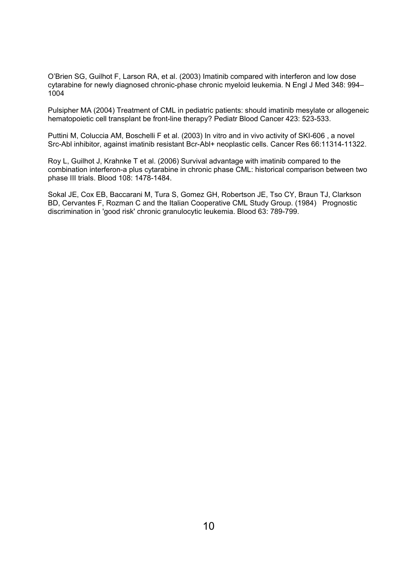O'Brien SG, Guilhot F, Larson RA, et al. (2003) Imatinib compared with interferon and low dose cytarabine for newly diagnosed chronic-phase chronic myeloid leukemia. N Engl J Med 348: 994– 1004

Pulsipher MA (2004) Treatment of CML in pediatric patients: should imatinib mesylate or allogeneic hematopoietic cell transplant be front-line therapy? Pediatr Blood Cancer 423: 523-533.

Puttini M, Coluccia AM, Boschelli F et al. (2003) In vitro and in vivo activity of SKI-606 , a novel Src-Abl inhibitor, against imatinib resistant Bcr-Abl+ neoplastic cells. Cancer Res 66:11314-11322.

Roy L, Guilhot J, Krahnke T et al. (2006) Survival advantage with imatinib compared to the combination interferon-a plus cytarabine in chronic phase CML: historical comparison between two phase III trials. Blood 108: 1478-1484.

Sokal JE, Cox EB, Baccarani M, Tura S, Gomez GH, Robertson JE, Tso CY, Braun TJ, Clarkson BD, Cervantes F, Rozman C and the Italian Cooperative CML Study Group. (1984) Prognostic discrimination in 'good risk' chronic granulocytic leukemia. Blood 63: 789-799.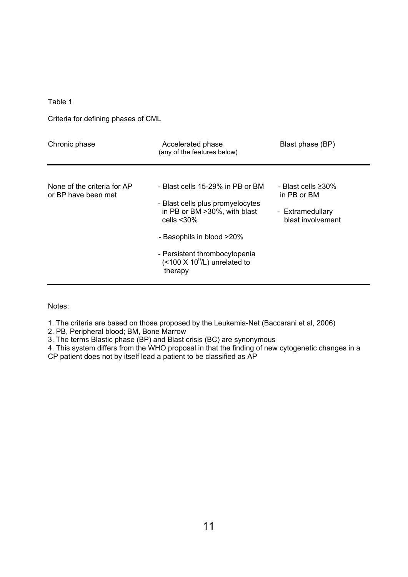Table 1

Criteria for defining phases of CML

| Chronic phase                                      | Accelerated phase<br>(any of the features below)                                                                       | Blast phase (BP)                                                           |
|----------------------------------------------------|------------------------------------------------------------------------------------------------------------------------|----------------------------------------------------------------------------|
| None of the criteria for AP<br>or BP have been met | - Blast cells 15-29% in PB or BM<br>- Blast cells plus promyelocytes<br>in PB or BM > 30%, with blast<br>cells $<$ 30% | - Blast cells ≥30%<br>in PB or BM<br>- Extramedullary<br>blast involvement |
|                                                    | - Basophils in blood >20%<br>- Persistent thrombocytopenia<br>$($ < 100 X 10 $^9$ /L) unrelated to<br>therapy          |                                                                            |

Notes:

1. The criteria are based on those proposed by the Leukemia-Net (Baccarani et al, 2006)

2. PB, Peripheral blood; BM, Bone Marrow

3. The terms Blastic phase (BP) and Blast crisis (BC) are synonymous

4. This system differs from the WHO proposal in that the finding of new cytogenetic changes in a CP patient does not by itself lead a patient to be classified as AP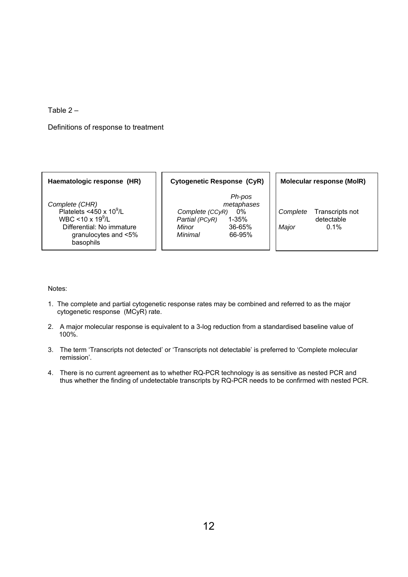Table 2 –

Definitions of response to treatment

*Complete (CHR)* Platelets <450 x  $10^9$ /L WBC <10 x  $19^9$ /L basophils

Haematologic response (HR) | Cytogenetic Response (CyR) | Molecular response (MolR)

 *Ph-pos*  /L *Complete (CCyR)* 0% *Complete* Transcripts not Partial (PCyR) 1-35% | detectable Differential: No immature *Minor* 36-65% *Major* 0.1% granulocytes and <5% *Minimal* 66-95%

# Notes:

- 1. The complete and partial cytogenetic response rates may be combined and referred to as the major cytogenetic response (MCyR) rate.
- 2. A major molecular response is equivalent to a 3-log reduction from a standardised baseline value of 100%.
- 3. The term 'Transcripts not detected' or 'Transcripts not detectable' is preferred to 'Complete molecular remission'.
- 4. There is no current agreement as to whether RQ-PCR technology is as sensitive as nested PCR and thus whether the finding of undetectable transcripts by RQ-PCR needs to be confirmed with nested PCR.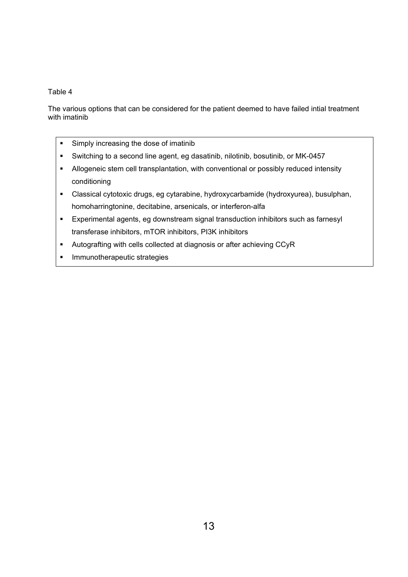# Table 4

The various options that can be considered for the patient deemed to have failed intial treatment with imatinib

- **Simply increasing the dose of imatinib**
- Switching to a second line agent, eg dasatinib, nilotinib, bosutinib, or MK-0457
- Allogeneic stem cell transplantation, with conventional or possibly reduced intensity conditioning
- Classical cytotoxic drugs, eg cytarabine, hydroxycarbamide (hydroxyurea), busulphan, homoharringtonine, decitabine, arsenicals, or interferon-alfa
- Experimental agents, eg downstream signal transduction inhibitors such as farnesyl transferase inhibitors, mTOR inhibitors, PI3K inhibitors
- Autografting with cells collected at diagnosis or after achieving CCyR
- **Immunotherapeutic strategies**